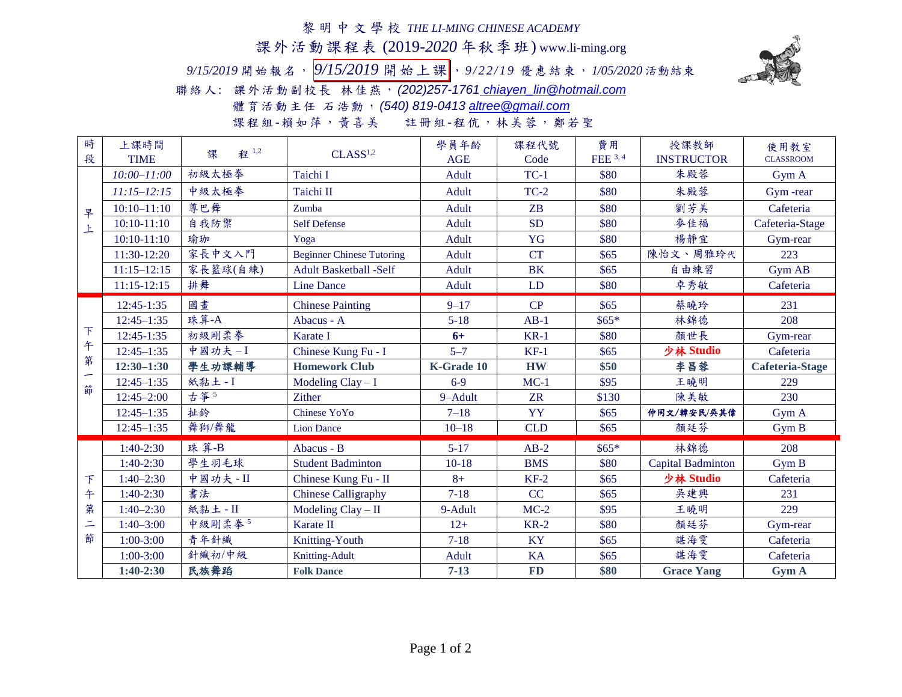## 黎明中文學校 *THE LI-MING CHINESE ACADEMY*

課外活動課程表 (2019-*2020* 年秋季班) www.li-ming.org

*9/15/2019* 開始報名, *9/15/2019* 開始上課 ,*9 / 2 2 / 1 9* 優惠結束,*1/05/2020* 活動結束



聯絡人: 課外活動副校長 林佳燕,*(202)257-1761 [chiayen\\_lin@hotmail.com](mailto:chiayen_lin@hotmail.com)*

體育活動主任 石浩勳,*(540) 819-0413 [altree@gmail.com](mailto:altree@gmail.com)*

課程組-賴如萍,黃喜美 註冊組-程伉,林美蓉,鄭若聖

| 時                                        | 上課時間            | 程 1,2<br>課 | CLASS <sup>1,2</sup>             | 學員年齡         | 課程代號       | 費用       | 授課教師              | 使用教室                   |
|------------------------------------------|-----------------|------------|----------------------------------|--------------|------------|----------|-------------------|------------------------|
| 段                                        | <b>TIME</b>     |            |                                  | <b>AGE</b>   | Code       | FEE 3, 4 | <b>INSTRUCTOR</b> | <b>CLASSROOM</b>       |
| 早<br>上                                   | $10:00 - 11:00$ | 初級太極拳      | Taichi I                         | <b>Adult</b> | $TC-1$     | \$80     | 朱殿蓉               | Gym A                  |
|                                          | $11:15 - 12:15$ | 中級太極拳      | Taichi II                        | Adult        | $TC-2$     | \$80     | 朱殿蓉               | Gym-rear               |
|                                          | $10:10 - 11:10$ | 尊巴舞        | Zumba                            | Adult        | ZB         | \$80     | 劉芳美               | Cafeteria              |
|                                          | $10:10-11:10$   | 自我防禦       | <b>Self Defense</b>              | Adult        | <b>SD</b>  | \$80     | 麥佳福               | Cafeteria-Stage        |
|                                          | $10:10-11:10$   | 瑜珈         | Yoga                             | Adult        | YG         | \$80     | 楊靜宜               | Gym-rear               |
|                                          | 11:30-12:20     | 家長中文入門     | <b>Beginner Chinese Tutoring</b> | Adult        | <b>CT</b>  | \$65     | 陳怡文、周雅玲代          | 223                    |
|                                          | $11:15 - 12:15$ | 家長籃球(自練)   | <b>Adult Basketball -Self</b>    | <b>Adult</b> | <b>BK</b>  | \$65     | 自由練習              | Gym AB                 |
|                                          | 11:15-12:15     | 排舞         | <b>Line Dance</b>                | <b>Adult</b> | LD         | \$80     | 卓秀敏               | Cafeteria              |
| 下<br>午<br>第<br>籂                         | 12:45-1:35      | 國畫         | <b>Chinese Painting</b>          | $9 - 17$     | CP         | \$65     | 蔡曉玲               | 231                    |
|                                          | $12:45 - 1:35$  | 珠算-A       | Abacus - A                       | $5 - 18$     | $AB-1$     | $$65*$   | 林錦德               | 208                    |
|                                          | 12:45-1:35      | 初級剛柔拳      | Karate I                         | $6+$         | $KR-1$     | \$80     | 顏世長               | Gym-rear               |
|                                          | $12:45 - 1:35$  | 中國功夫-I     | Chinese Kung Fu - I              | $5 - 7$      | $KF-1$     | \$65     | 少林 Studio         | Cafeteria              |
|                                          | $12:30 - 1:30$  | 學生功課輔導     | <b>Homework Club</b>             | K-Grade 10   | <b>HW</b>  | \$50     | 李昌蓉               | <b>Cafeteria-Stage</b> |
|                                          | $12:45 - 1:35$  | 紙黏土-I      | Modeling $Clay-I$                | $6 - 9$      | $MC-1$     | \$95     | 王曉明               | 229                    |
|                                          | $12:45 - 2:00$  | 古筝5        | <b>Zither</b>                    | 9-Adult      | <b>ZR</b>  | \$130    | 陳美敏               | 230                    |
|                                          | $12:45 - 1:35$  | 扯鈴         | Chinese YoYo                     | $7 - 18$     | YY         | \$65     | 仲同文/韓安民/吳其偉       | Gym A                  |
|                                          | $12:45 - 1:35$  | 舞獅/舞龍      | <b>Lion Dance</b>                | $10 - 18$    | <b>CLD</b> | \$65     | 顏廷芬               | Gym B                  |
| $\mathcal{T}$<br>午<br>第<br>$\equiv$<br>節 | $1:40-2:30$     | 珠算-B       | Abacus - B                       | $5 - 17$     | $AB-2$     | $$65*$   | 林錦德               | 208                    |
|                                          | $1:40-2:30$     | 學生羽毛球      | <b>Student Badminton</b>         | $10-18$      | <b>BMS</b> | \$80     | Capital Badminton | Gym B                  |
|                                          | $1:40 - 2:30$   | 中國功夫 - II  | Chinese Kung Fu - II             | $8+$         | $KF-2$     | \$65     | 少林 Studio         | Cafeteria              |
|                                          | $1:40-2:30$     | 書法         | <b>Chinese Calligraphy</b>       | $7 - 18$     | CC         | \$65     | 吳建興               | 231                    |
|                                          | $1:40 - 2:30$   | 紙黏土 - II   | Modeling $Clay - II$             | 9-Adult      | $MC-2$     | \$95     | 王曉明               | 229                    |
|                                          | $1:40 - 3:00$   | 中級剛柔拳5     | Karate II                        | $12+$        | $KR-2$     | \$80     | 顏廷芬               | Gym-rear               |
|                                          | $1:00 - 3:00$   | 青年針織       | Knitting-Youth                   | $7 - 18$     | <b>KY</b>  | \$65     | 諶海雯               | Cafeteria              |
|                                          | $1:00 - 3:00$   | 針織初/中級     | <b>Knitting-Adult</b>            | <b>Adult</b> | <b>KA</b>  | \$65     | 諶海雯               | Cafeteria              |
|                                          | $1:40-2:30$     | 民族舞蹈       | <b>Folk Dance</b>                | $7 - 13$     | <b>FD</b>  | \$80     | <b>Grace Yang</b> | <b>Gym A</b>           |